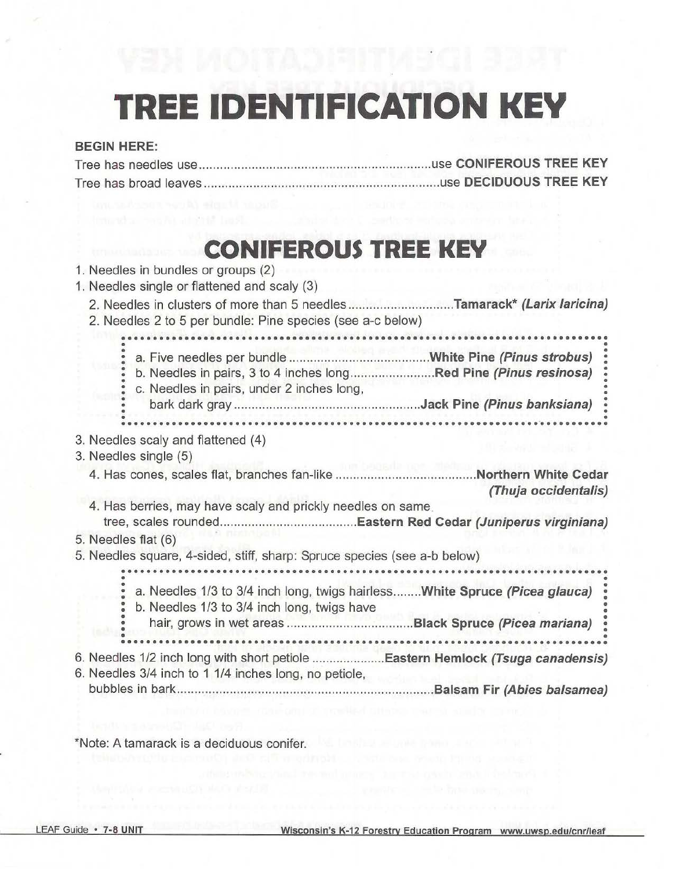# **TREE IDENTIFICATION KEY**

#### BEGIN HERE:

Tree has needles use use CONIFEROUS TREE KEY Tree has broad leaves use DECIDUOUS TREE KEY

### **CONIFEROUS TREE KEY**

| 1. Needles in bundles or groups (2)<br>1. Needles single or flattened and scaly (3)                                                   |
|---------------------------------------------------------------------------------------------------------------------------------------|
| 2. Needles in clusters of more than 5 needlesTamarack* (Larix laricina)<br>2. Needles 2 to 5 per bundle: Pine species (see a-c below) |
|                                                                                                                                       |
| b. Needles in pairs, 3 to 4 inches longRed Pine (Pinus resinosa)<br>c. Needles in pairs, under 2 inches long,                         |
|                                                                                                                                       |
|                                                                                                                                       |
| 3. Needles scaly and flattened (4)                                                                                                    |
| 3. Needles single (5)                                                                                                                 |
| (Thuja occidentalis)                                                                                                                  |
| 4. Has berries, may have scaly and prickly needles on same.                                                                           |
|                                                                                                                                       |
| 5. Needles flat (6)                                                                                                                   |
| 5. Needles square, 4-sided, stiff, sharp: Spruce species (see a-b below)                                                              |
|                                                                                                                                       |
| a. Needles 1/3 to 3/4 inch long, twigs hairlessWhite Spruce (Picea glauca)<br>b. Needles 1/3 to 3/4 inch long, twigs have             |
|                                                                                                                                       |
| 6. Needles 3/4 inch to 1 1/4 inches long, no petiole,                                                                                 |
|                                                                                                                                       |
|                                                                                                                                       |

\*Note: A tamarack is a deciduous conifer.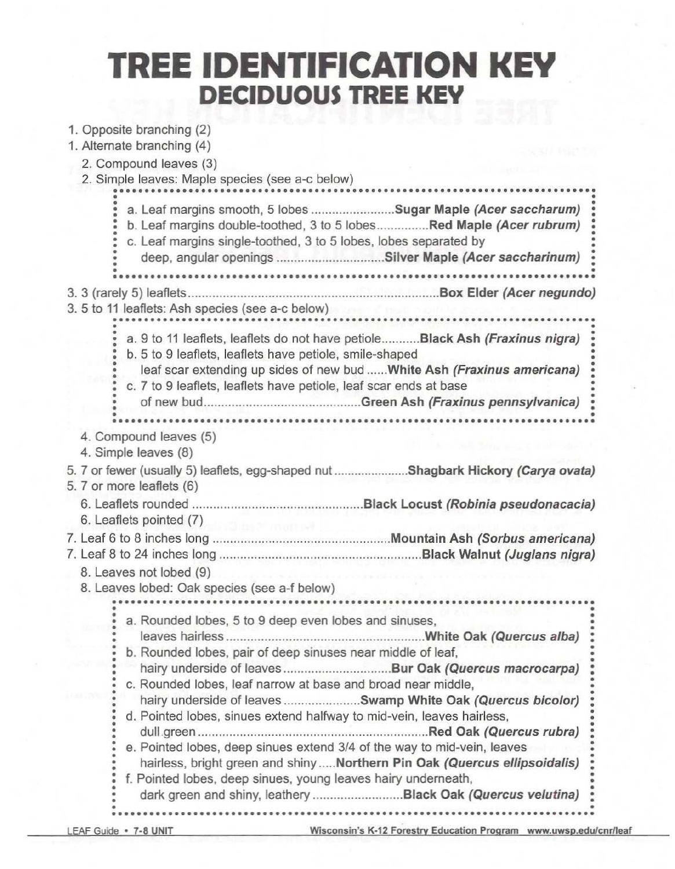# **TREE IDENTIFICATION KEY DECIDUOUS TREE KEY**

| 1. Opposite branching (2)<br>1. Alternate branching (4)                                                                                                                                                                                                                                                                                                                                                                                                                                                                                                                           |  |
|-----------------------------------------------------------------------------------------------------------------------------------------------------------------------------------------------------------------------------------------------------------------------------------------------------------------------------------------------------------------------------------------------------------------------------------------------------------------------------------------------------------------------------------------------------------------------------------|--|
| 2. Compound leaves (3)<br>2. Simple leaves: Maple species (see a-c below)                                                                                                                                                                                                                                                                                                                                                                                                                                                                                                         |  |
| a. Leaf margins smooth, 5 lobes Sugar Maple (Acer saccharum)<br>b. Leaf margins double-toothed, 3 to 5 lobesRed Maple (Acer rubrum)<br>c. Leaf margins single-toothed, 3 to 5 lobes, lobes separated by<br>deep, angular openings Silver Maple (Acer saccharinum)<br>*******************************                                                                                                                                                                                                                                                                              |  |
| 3. 5 to 11 leaflets: Ash species (see a-c below)                                                                                                                                                                                                                                                                                                                                                                                                                                                                                                                                  |  |
| a. 9 to 11 leaflets, leaflets do not have petiole Black Ash (Fraxinus nigra)<br>b. 5 to 9 leaflets, leaflets have petiole, smile-shaped<br>leaf scar extending up sides of new bud White Ash (Fraxinus americana)<br>c. 7 to 9 leaflets, leaflets have petiole, leaf scar ends at base                                                                                                                                                                                                                                                                                            |  |
| 4. Compound leaves (5)<br>4. Simple leaves (8)                                                                                                                                                                                                                                                                                                                                                                                                                                                                                                                                    |  |
| 5. 7 or fewer (usually 5) leaflets, egg-shaped nut Shagbark Hickory (Carya ovata)<br>5. 7 or more leaflets (6)                                                                                                                                                                                                                                                                                                                                                                                                                                                                    |  |
| 6. Leaflets pointed (7)                                                                                                                                                                                                                                                                                                                                                                                                                                                                                                                                                           |  |
| 8. Leaves not lobed (9)                                                                                                                                                                                                                                                                                                                                                                                                                                                                                                                                                           |  |
| 8. Leaves lobed: Oak species (see a-f below)                                                                                                                                                                                                                                                                                                                                                                                                                                                                                                                                      |  |
| a. Rounded lobes, 5 to 9 deep even lobes and sinuses,<br>.White Oak (Quercus alba)<br>b. Rounded lobes, pair of deep sinuses near middle of leaf,<br>c. Rounded lobes, leaf narrow at base and broad near middle,<br>hairy underside of leaves Swamp White Oak (Quercus bicolor)<br>d. Pointed lobes, sinues extend halfway to mid-vein, leaves hairless,<br>e. Pointed lobes, deep sinues extend 3/4 of the way to mid-vein, leaves<br>hairless, bright green and shinyNorthern Pin Oak (Quercus ellipsoidalis)<br>f. Pointed lobes, deep sinues, young leaves hairy underneath, |  |
|                                                                                                                                                                                                                                                                                                                                                                                                                                                                                                                                                                                   |  |

LEAF Guide • 7-8 UNIT Wisconsin's K-12 Forestry Education Program \_www.uwsp.edu/cnr/leaf